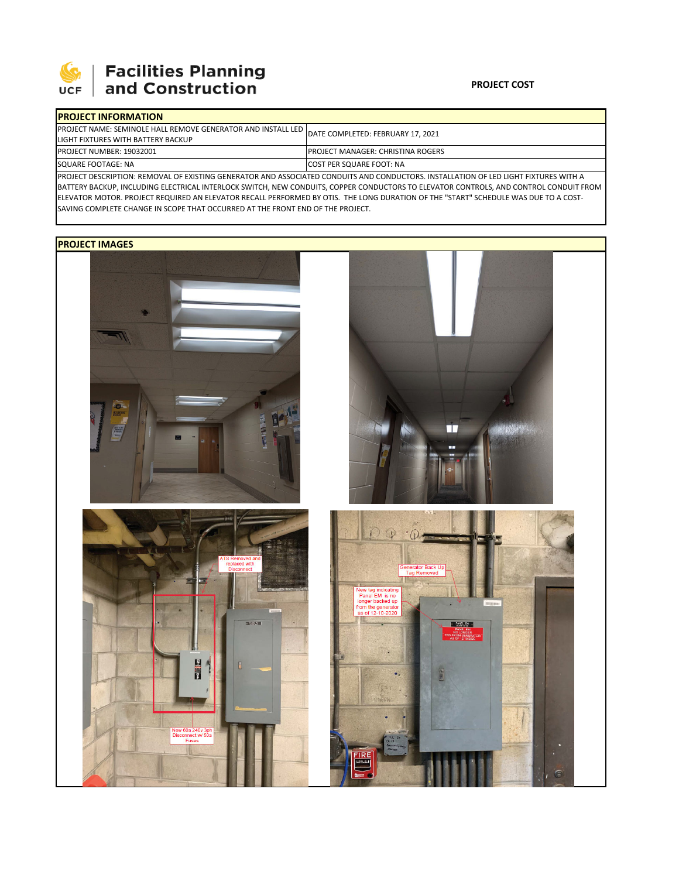

## | Facilities Planning<br>| and Construction

## **PROJECT COST**

| <b>IPROJECT INFORMATION</b>                                                                                                           |                                           |  |  |  |
|---------------------------------------------------------------------------------------------------------------------------------------|-------------------------------------------|--|--|--|
| <b>IPROJECT NAME: SEMINOLE HALL REMOVE GENERATOR AND INSTALL LED</b>                                                                  | DATE COMPLETED: FEBRUARY 17, 2021         |  |  |  |
| LIGHT FIXTURES WITH BATTERY BACKUP                                                                                                    |                                           |  |  |  |
| <b>PROJECT NUMBER: 19032001</b>                                                                                                       | <b>IPROJECT MANAGER: CHRISTINA ROGERS</b> |  |  |  |
| SQUARE FOOTAGE: NA                                                                                                                    | <b>COST PER SQUARE FOOT: NA</b>           |  |  |  |
| IPROJECT DESCRIPTION: REMOVAL OF EXISTING GENERATOR AND ASSOCIATED CONDUITS AND CONDUCTORS. INSTALLATION OF LED LIGHT FIXTURES WITH A |                                           |  |  |  |

BATTERY BACKUP, INCLUDING ELECTRICAL INTERLOCK SWITCH, NEW CONDUITS, COPPER CONDUCTORS TO ELEVATOR CONTROLS, AND CONTROL CONDUIT FROM ELEVATOR MOTOR. PROJECT REQUIRED AN ELEVATOR RECALL PERFORMED BY OTIS. THE LONG DURATION OF THE "START" SCHEDULE WAS DUE TO A COST‐ SAVING COMPLETE CHANGE IN SCOPE THAT OCCURRED AT THE FRONT END OF THE PROJECT.

## **PROJECT IMAGES**